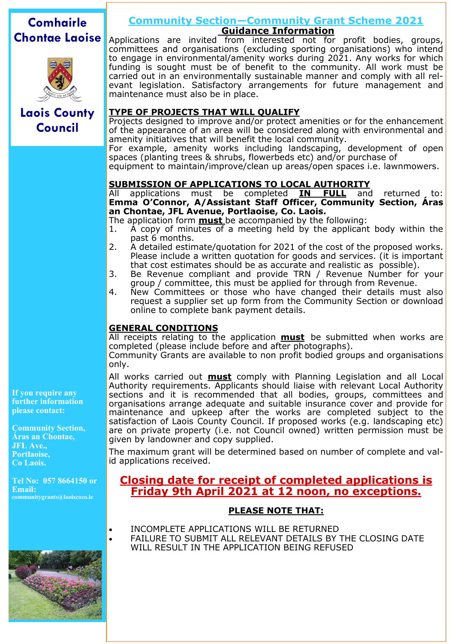# **Comhairle Chontae Laoise**



## **Community Section—Community Grant Scheme 2021 Guidance Information**

**Laois County Council**

Applications are invited from interested not for profit bodies, groups, committees and organisations (excluding sporting organisations) who intend to engage in environmental/amenity works during 2021. Any works for which funding is sought must be of benefit to the community. All work must be carried out in an environmentally sustainable manner and comply with all relevant legislation. Satisfactory arrangements for future management and maintenance must also be in place.

### **TYPE OF PROJECTS THAT WILL QUALIFY**

Projects designed to improve and/or protect amenities or for the enhancement of the appearance of an area will be considered along with environmental and amenity initiatives that will benefit the local community.

For example, amenity works including landscaping, development of open spaces (planting trees & shrubs, flowerbeds etc) and/or purchase of

equipment to maintain/improve/clean up areas/open spaces i.e. lawnmowers.

#### **SUBMISSION OF APPLICATIONS TO LOCAL AUTHORITY**

All applications must be completed **IN FULL** and returned, to: **Emma O'Connor, A/Assistant Staff Officer, Community Section, Áras an Chontae, JFL Avenue, Portlaoise, Co. Laois.** 

The application form **must** be accompanied by the following:

- 1. A copy of minutes of a meeting held by the applicant body within the past 6 months.
- 2. A detailed estimate/quotation for 2021 of the cost of the proposed works. Please include a written quotation for goods and services. (it is important that cost estimates should be as accurate and realistic as possible).
- 3. Be Revenue compliant and provide TRN / Revenue Number for your group / committee, this must be applied for through from Revenue.
- 4. New Committees or those who have changed their details must also request a supplier set up form from the Community Section or download online to complete bank payment details.

#### **GENERAL CONDITIONS**

All receipts relating to the application **must** be submitted when works are completed (please include before and after photographs).

Community Grants are available to non profit bodied groups and organisations only.

All works carried out **must** comply with Planning Legislation and all Local Authority requirements. Applicants should liaise with relevant Local Authority sections and it is recommended that all bodies, groups, committees and organisations arrange adequate and suitable insurance cover and provide for maintenance and upkeep after the works are completed subject to the satisfaction of Laois County Council. If proposed works (e.g. landscaping etc) are on private property (i.e. not Council owned) written permission must be given by landowner and copy supplied.

The maximum grant will be determined based on number of complete and valid applications received.

## **Closing date for receipt of completed applications is Friday 9th April 2021 at 12 noon, no exceptions.**

#### **PLEASE NOTE THAT:**

- INCOMPLETE APPLICATIONS WILL BE RETURNED
- FAILURE TO SUBMIT ALL RELEVANT DETAILS BY THE CLOSING DATE WILL RESULT IN THE APPLICATION BEING REFUSED

**If you require any further information please contact:** 

**Community Section, Áras an Chontae, JFL Ave., Portlaoise, Co Laois.** 

**Tel No: 057 8664150 or Email: communitygrants@laoiscoco.ie**